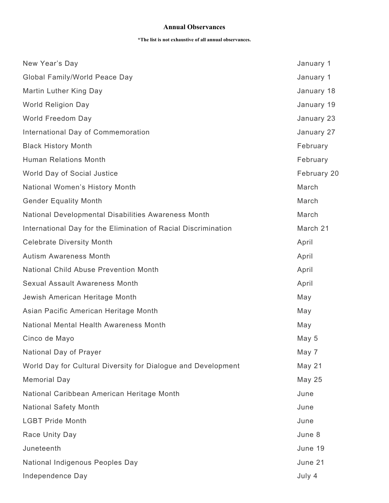## **Annual Observances**

## **\*The list is not exhaustive of all annual observances.**

| New Year's Day                                                 | January 1   |
|----------------------------------------------------------------|-------------|
| Global Family/World Peace Day                                  | January 1   |
| Martin Luther King Day                                         | January 18  |
| <b>World Religion Day</b>                                      | January 19  |
| World Freedom Day                                              | January 23  |
| International Day of Commemoration                             | January 27  |
| <b>Black History Month</b>                                     | February    |
| <b>Human Relations Month</b>                                   | February    |
| World Day of Social Justice                                    | February 20 |
| National Women's History Month                                 | March       |
| <b>Gender Equality Month</b>                                   | March       |
| National Developmental Disabilities Awareness Month            | March       |
| International Day for the Elimination of Racial Discrimination | March 21    |
| <b>Celebrate Diversity Month</b>                               | April       |
| <b>Autism Awareness Month</b>                                  | April       |
| <b>National Child Abuse Prevention Month</b>                   | April       |
| Sexual Assault Awareness Month                                 | April       |
| Jewish American Heritage Month                                 | May         |
| Asian Pacific American Heritage Month                          | May         |
| National Mental Health Awareness Month                         | May         |
| Cinco de Mayo                                                  | May 5       |
| National Day of Prayer                                         | May 7       |
| World Day for Cultural Diversity for Dialogue and Development  | May 21      |
| <b>Memorial Day</b>                                            | May 25      |
| National Caribbean American Heritage Month                     | June        |
| <b>National Safety Month</b>                                   | June        |
| <b>LGBT Pride Month</b>                                        | June        |
| Race Unity Day                                                 | June 8      |
| Juneteenth                                                     | June 19     |
| National Indigenous Peoples Day                                | June 21     |
| Independence Day                                               | July 4      |